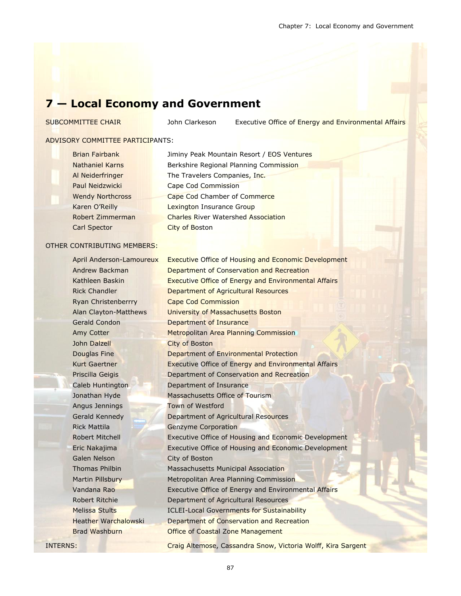# **7 — Local Economy and Government**

SUBCOMMITTEE CHAIR **John Clarkeson** Executive Office of Energy and Environmental Affairs

#### ADVISORY COMMITTEE PARTICIPANTS:

Carl Spector City of Boston

Brian Fairbank Jiminy Peak Mountain Resort / EOS Ventures Nathaniel Karns **Berkshire Regional Planning Commission** Al Neiderfringer The Travelers Companies, Inc. Paul Neidzwicki Cape Cod Commission Wendy Northcross Cape Cod Chamber of Commerce Karen O'Reilly **Lexington Insurance Group** Robert Zimmerman Charles River Watershed Association

#### OTHER CONTRIBUTING MEMBERS:

April Anderson-Lamoureux Executive Office of Housing and Economic Development Andrew Backman **Department of Conservation and Recreation** Kathleen Baskin **Executive Office of Energy and Environmental Affairs** Rick Chandler **Department of Agricultural Resources** Ryan Christenberrry **Cape Cod Commission** Alan Clayton-Matthews University of Massachusetts Boston Gerald Condon **Department of Insurance** Amy Cotter Metropolitan Area Planning Commission John Dalzell **City of Boston** Douglas Fine **Department of Environmental Protection** Kurt Gaertner **Executive Office of Energy and Environmental Affairs** Priscilla Geigis Department of Conservation and Recreation Caleb Huntington Department of Insurance Jonathan Hyde Massachusetts Office of Tourism Angus Jennings Town of Westford Gerald Kennedy Department of Agricultural Resources Rick Mattila Genzyme Corporation Robert Mitchell **Executive Office of Housing and Economic Development** Eric Nakajima Executive Office of Housing and Economic Development Galen Nelson City of Boston Thomas Philbin Massachusetts Municipal Association Martin Pillsbury Metropolitan Area Planning Commission Vandana Rao Executive Office of Energy and Environmental Affairs Robert Ritchie Department of Agricultural Resources Melissa Stults ICLEI-Local Governments for Sustainability Heather Warchalowski Department of Conservation and Recreation Brad Washburn **Coastal Zone Management** INTERNS: Craig Altemose, Cassandra Snow, Victoria Wolff, Kira Sargent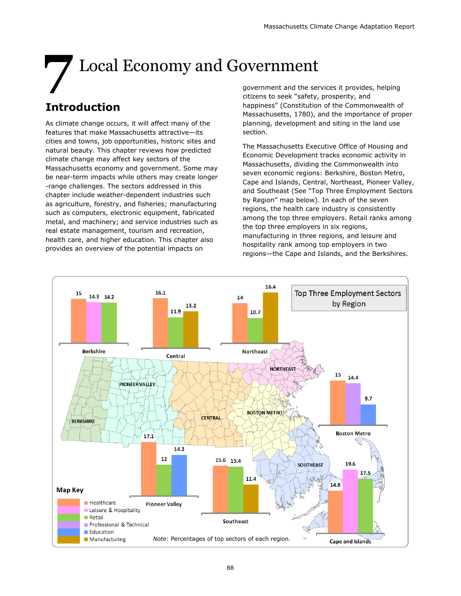# **7** Local Economy and Government

# **Introduction**

As climate change occurs, it will affect many of the features that make Massachusetts attractive—its cities and towns, job opportunities, historic sites and natural beauty. This chapter reviews how predicted climate change may affect key sectors of the Massachusetts economy and government. Some may be near-term impacts while others may create longer -range challenges. The sectors addressed in this chapter include weather-dependent industries such as agriculture, forestry, and fisheries; manufacturing such as computers, electronic equipment, fabricated metal, and machinery; and service industries such as real estate management, tourism and recreation, health care, and higher education. This chapter also provides an overview of the potential impacts on

government and the services it provides, helping citizens to seek "safety, prosperity, and happiness" (Constitution of the Commonwealth of Massachusetts, 1780), and the importance of proper planning, development and siting in the land use section.

The Massachusetts Executive Office of Housing and Economic Development tracks economic activity in Massachusetts, dividing the Commonwealth into seven economic regions: Berkshire, Boston Metro, Cape and Islands, Central, Northeast, Pioneer Valley, and Southeast (See "Top Three Employment Sectors by Region" map below). In each of the seven regions, the health care industry is consistently among the top three employers. Retail ranks among the top three employers in six regions, manufacturing in three regions, and leisure and hospitality rank among top employers in two regions—the Cape and Islands, and the Berkshires.

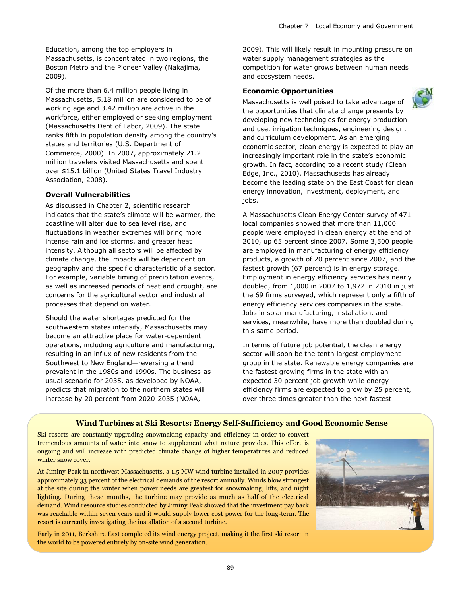Education, among the top employers in Massachusetts, is concentrated in two regions, the Boston Metro and the Pioneer Valley (Nakajima, 2009).

Of the more than 6.4 million people living in Massachusetts, 5.18 million are considered to be of working age and 3.42 million are active in the workforce, either employed or seeking employment (Massachusetts Dept of Labor, 2009). The state ranks fifth in population density among the country's states and territories (U.S. Department of Commerce, 2000). In 2007, approximately 21.2 million travelers visited Massachusetts and spent over \$15.1 billion (United States Travel Industry Association, 2008).

#### **Overall Vulnerabilities**

As discussed in Chapter 2, scientific research indicates that the state's climate will be warmer, the coastline will alter due to sea level rise, and fluctuations in weather extremes will bring more intense rain and ice storms, and greater heat intensity. Although all sectors will be affected by climate change, the impacts will be dependent on geography and the specific characteristic of a sector. For example, variable timing of precipitation events, as well as increased periods of heat and drought, are concerns for the agricultural sector and industrial processes that depend on water.

Should the water shortages predicted for the southwestern states intensify, Massachusetts may become an attractive place for water-dependent operations, including agriculture and manufacturing, resulting in an influx of new residents from the Southwest to New England—reversing a trend prevalent in the 1980s and 1990s. The business-asusual scenario for 2035, as developed by NOAA, predicts that migration to the northern states will increase by 20 percent from 2020-2035 (NOAA,

2009). This will likely result in mounting pressure on water supply management strategies as the competition for water grows between human needs and ecosystem needs.

#### **Economic Opportunities**



Massachusetts is well poised to take advantage of the opportunities that climate change presents by developing new technologies for energy production and use, irrigation techniques, engineering design, and curriculum development. As an emerging economic sector, clean energy is expected to play an increasingly important role in the state's economic growth. In fact, according to a recent study (Clean Edge, Inc., 2010), Massachusetts has already become the leading state on the East Coast for clean energy innovation, investment, deployment, and jobs.

A Massachusetts Clean Energy Center survey of 471 local companies showed that more than 11,000 people were employed in clean energy at the end of 2010, up 65 percent since 2007. Some 3,500 people are employed in manufacturing of energy efficiency products, a growth of 20 percent since 2007, and the fastest growth (67 percent) is in energy storage. Employment in energy efficiency services has nearly doubled, from 1,000 in 2007 to 1,972 in 2010 in just the 69 firms surveyed, which represent only a fifth of energy efficiency services companies in the state. Jobs in solar manufacturing, installation, and services, meanwhile, have more than doubled during this same period.

In terms of future job potential, the clean energy sector will soon be the tenth largest employment group in the state. Renewable energy companies are the fastest growing firms in the state with an expected 30 percent job growth while energy efficiency firms are expected to grow by 25 percent, over three times greater than the next fastest

#### **Wind Turbines at Ski Resorts: Energy Self-Sufficiency and Good Economic Sense**

Ski resorts are constantly upgrading snowmaking capacity and efficiency in order to convert tremendous amounts of water into snow to supplement what nature provides. This effort is ongoing and will increase with predicted climate change of higher temperatures and reduced winter snow cover.

At Jiminy Peak in northwest Massachusetts, a 1.5 MW wind turbine installed in 2007 provides approximately 33 percent of the electrical demands of the resort annually. Winds blow strongest at the site during the winter when power needs are greatest for snowmaking, lifts, and night lighting. During these months, the turbine may provide as much as half of the electrical demand. Wind resource studies conducted by Jiminy Peak showed that the investment pay back was reachable within seven years and it would supply lower cost power for the long-term. The resort is currently investigating the installation of a second turbine.

Early in 2011, Berkshire East completed its wind energy project, making it the first ski resort in the world to be powered entirely by on-site wind generation.

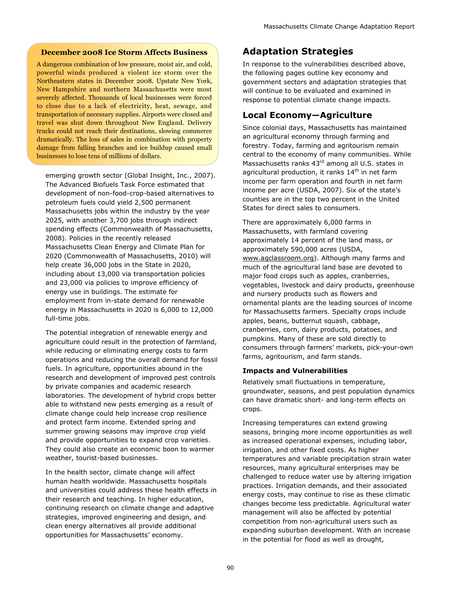#### **December 2008 Ice Storm Affects Business**

A dangerous combination of low pressure, moist air, and cold, powerful winds produced a violent ice storm over the Northeastern states in December 2008. Upstate New York, New Hampshire and northern Massachusetts were most severely affected. Thousands of local businesses were forced to close due to a lack of electricity, heat, sewage, and transportation of necessary supplies. Airports were closed and travel was shut down throughout New England. Delivery trucks could not reach their destinations, slowing commerce dramatically. The loss of sales in combination with property damage from falling branches and ice buildup caused small businesses to lose tens of millions of dollars.

emerging growth sector (Global Insight, Inc., 2007). The Advanced Biofuels Task Force estimated that development of non-food-crop-based alternatives to petroleum fuels could yield 2,500 permanent Massachusetts jobs within the industry by the year 2025, with another 3,700 jobs through indirect spending effects (Commonwealth of Massachusetts, 2008). Policies in the recently released Massachusetts Clean Energy and Climate Plan for 2020 (Commonwealth of Massachusetts, 2010) will help create 36,000 jobs in the State in 2020, including about 13,000 via transportation policies and 23,000 via policies to improve efficiency of energy use in buildings. The estimate for employment from in-state demand for renewable energy in Massachusetts in 2020 is 6,000 to 12,000 full-time jobs.

The potential integration of renewable energy and agriculture could result in the protection of farmland, while reducing or eliminating energy costs to farm operations and reducing the overall demand for fossil fuels. In agriculture, opportunities abound in the research and development of improved pest controls by private companies and academic research laboratories. The development of hybrid crops better able to withstand new pests emerging as a result of climate change could help increase crop resilience and protect farm income. Extended spring and summer growing seasons may improve crop yield and provide opportunities to expand crop varieties. They could also create an economic boon to warmer weather, tourist-based businesses.

In the health sector, climate change will affect human health worldwide. Massachusetts hospitals and universities could address these health effects in their research and teaching. In higher education, continuing research on climate change and adaptive strategies, improved engineering and design, and clean energy alternatives all provide additional opportunities for Massachusetts' economy.

# **Adaptation Strategies**

In response to the vulnerabilities described above, the following pages outline key economy and government sectors and adaptation strategies that will continue to be evaluated and examined in response to potential climate change impacts.

# **Local Economy—Agriculture**

Since colonial days, Massachusetts has maintained an agricultural economy through farming and forestry. Today, farming and agritourism remain central to the economy of many communities. While Massachusetts ranks 43<sup>rd</sup> among all U.S. states in agricultural production, it ranks 14<sup>th</sup> in net farm income per farm operation and fourth in net farm income per acre (USDA, 2007). Six of the state's counties are in the top two percent in the United States for direct sales to consumers.

There are approximately 6,000 farms in Massachusetts, with farmland covering approximately 14 percent of the land mass, or approximately 590,000 acres (USDA, [www.agclassroom.org\).](http://www.agclassroom.org) Although many farms and much of the agricultural land base are devoted to major food crops such as apples, cranberries, vegetables, livestock and dairy products, greenhouse and nursery products such as flowers and ornamental plants are the leading sources of income for Massachusetts farmers. Specialty crops include apples, beans, butternut squash, cabbage, cranberries, corn, dairy products, potatoes, and pumpkins. Many of these are sold directly to consumers through farmers' markets, pick-your-own farms, agritourism, and farm stands.

#### **Impacts and Vulnerabilities**

Relatively small fluctuations in temperature, groundwater, seasons, and pest population dynamics can have dramatic short- and long-term effects on crops.

Increasing temperatures can extend growing seasons, bringing more income opportunities as well as increased operational expenses, including labor, irrigation, and other fixed costs. As higher temperatures and variable precipitation strain water resources, many agricultural enterprises may be challenged to reduce water use by altering irrigation practices. Irrigation demands, and their associated energy costs, may continue to rise as these climatic changes become less predictable. Agricultural water management will also be affected by potential competition from non-agricultural users such as expanding suburban development. With an increase in the potential for flood as well as drought,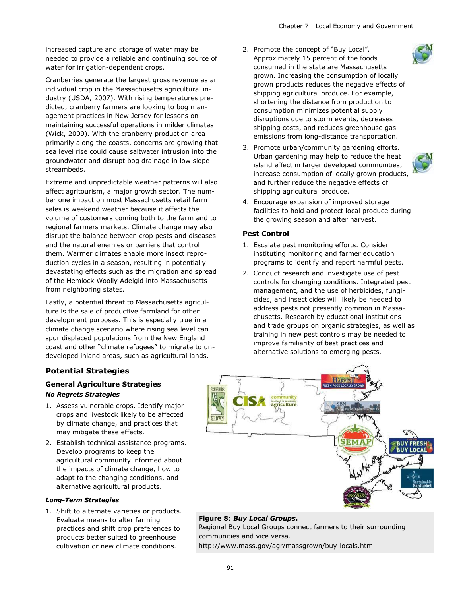increased capture and storage of water may be needed to provide a reliable and continuing source of water for irrigation-dependent crops.

Cranberries generate the largest gross revenue as an individual crop in the Massachusetts agricultural industry (USDA, 2007). With rising temperatures predicted, cranberry farmers are looking to bog management practices in New Jersey for lessons on maintaining successful operations in milder climates (Wick, 2009). With the cranberry production area primarily along the coasts, concerns are growing that sea level rise could cause saltwater intrusion into the groundwater and disrupt bog drainage in low slope streambeds.

Extreme and unpredictable weather patterns will also affect agritourism, a major growth sector. The number one impact on most Massachusetts retail farm sales is weekend weather because it affects the volume of customers coming both to the farm and to regional farmers markets. Climate change may also disrupt the balance between crop pests and diseases and the natural enemies or barriers that control them. Warmer climates enable more insect reproduction cycles in a season, resulting in potentially devastating effects such as the migration and spread of the Hemlock Woolly Adelgid into Massachusetts from neighboring states.

Lastly, a potential threat to Massachusetts agriculture is the sale of productive farmland for other development purposes. This is especially true in a climate change scenario where rising sea level can spur displaced populations from the New England coast and other "climate refugees" to migrate to undeveloped inland areas, such as agricultural lands.

#### 2. Promote the concept of "Buy Local". Approximately 15 percent of the foods consumed in the state are Massachusetts grown. Increasing the consumption of locally grown products reduces the negative effects of shipping agricultural produce. For example, shortening the distance from production to consumption minimizes potential supply disruptions due to storm events, decreases shipping costs, and reduces greenhouse gas emissions from long-distance transportation.

3. Promote urban/community gardening efforts. Urban gardening may help to reduce the heat island effect in larger developed communities, increase consumption of locally grown products, and further reduce the negative effects of shipping agricultural produce.



4. Encourage expansion of improved storage facilities to hold and protect local produce during the growing season and after harvest.

#### **Pest Control**

- 1. Escalate pest monitoring efforts. Consider instituting monitoring and farmer education programs to identify and report harmful pests.
- 2. Conduct research and investigate use of pest controls for changing conditions. Integrated pest management, and the use of herbicides, fungicides, and insecticides will likely be needed to address pests not presently common in Massachusetts. Research by educational institutions and trade groups on organic strategies, as well as training in new pest controls may be needed to improve familiarity of best practices and alternative solutions to emerging pests.

#### **Potential Strategies**

#### **General Agriculture Strategies** *No Regrets Strategies*

- 1. Assess vulnerable crops. Identify major crops and livestock likely to be affected by climate change, and practices that may mitigate these effects.
- 2. Establish technical assistance programs. Develop programs to keep the agricultural community informed about the impacts of climate change, how to adapt to the changing conditions, and alternative agricultural products.

#### *Long-Term Strategies*

1. Shift to alternate varieties or products. Evaluate means to alter farming practices and shift crop preferences to products better suited to greenhouse cultivation or new climate conditions.



# **Figure 8**: *Buy Local Groups***.**

Regional Buy Local Groups connect farmers to their surrounding communities and vice versa.

<http://www.mass.gov/agr/massgrown/buy-locals.htm>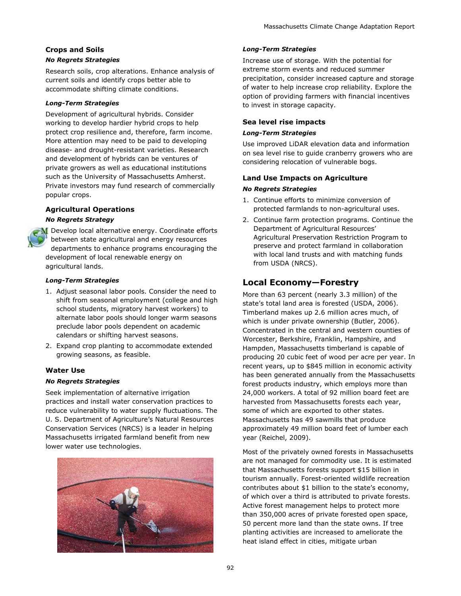# **Crops and Soils**

# *No Regrets Strategies*

Research soils, crop alterations. Enhance analysis of current soils and identify crops better able to accommodate shifting climate conditions.

#### *Long-Term Strategies*

Development of agricultural hybrids. Consider working to develop hardier hybrid crops to help protect crop resilience and, therefore, farm income. More attention may need to be paid to developing disease- and drought-resistant varieties. Research and development of hybrids can be ventures of private growers as well as educational institutions such as the University of Massachusetts Amherst. Private investors may fund research of commercially popular crops.

#### **Agricultural Operations**

#### *No Regrets Strategy*



Develop local alternative energy. Coordinate efforts between state agricultural and energy resources departments to enhance programs encouraging the development of local renewable energy on agricultural lands.

#### *Long-Term Strategies*

- 1. Adjust seasonal labor pools. Consider the need to shift from seasonal employment (college and high school students, migratory harvest workers) to alternate labor pools should longer warm seasons preclude labor pools dependent on academic calendars or shifting harvest seasons.
- 2. Expand crop planting to accommodate extended growing seasons, as feasible.

#### **Water Use**

#### *No Regrets Strategies*

Seek implementation of alternative irrigation practices and install water conservation practices to reduce vulnerability to water supply fluctuations. The U. S. Department of Agriculture's Natural Resources Conservation Services (NRCS) is a leader in helping Massachusetts irrigated farmland benefit from new lower water use technologies.



#### *Long-Term Strategies*

Increase use of storage. With the potential for extreme storm events and reduced summer precipitation, consider increased capture and storage of water to help increase crop reliability. Explore the option of providing farmers with financial incentives to invest in storage capacity.

#### **Sea level rise impacts**

#### *Long-Term Strategies*

Use improved LiDAR elevation data and information on sea level rise to guide cranberry growers who are considering relocation of vulnerable bogs.

#### **Land Use Impacts on Agriculture**

#### *No Regrets Strategies*

- 1. Continue efforts to minimize conversion of protected farmlands to non-agricultural uses.
- 2. Continue farm protection programs. Continue the Department of Agricultural Resources' Agricultural Preservation Restriction Program to preserve and protect farmland in collaboration with local land trusts and with matching funds from USDA (NRCS).

# **Local Economy—Forestry**

More than 63 percent (nearly 3.3 million) of the state's total land area is forested (USDA, 2006). Timberland makes up 2.6 million acres much, of which is under private ownership (Butler, 2006). Concentrated in the central and western counties of Worcester, Berkshire, Franklin, Hampshire, and Hampden, Massachusetts timberland is capable of producing 20 cubic feet of wood per acre per year. In recent years, up to \$845 million in economic activity has been generated annually from the Massachusetts forest products industry, which employs more than 24,000 workers. A total of 92 million board feet are harvested from Massachusetts forests each year, some of which are exported to other states. Massachusetts has 49 sawmills that produce approximately 49 million board feet of lumber each year (Reichel, 2009).

Most of the privately owned forests in Massachusetts are not managed for commodity use. It is estimated that Massachusetts forests support \$15 billion in tourism annually. Forest-oriented wildlife recreation contributes about \$1 billion to the state's economy, of which over a third is attributed to private forests. Active forest management helps to protect more than 350,000 acres of private forested open space, 50 percent more land than the state owns. If tree planting activities are increased to ameliorate the heat island effect in cities, mitigate urban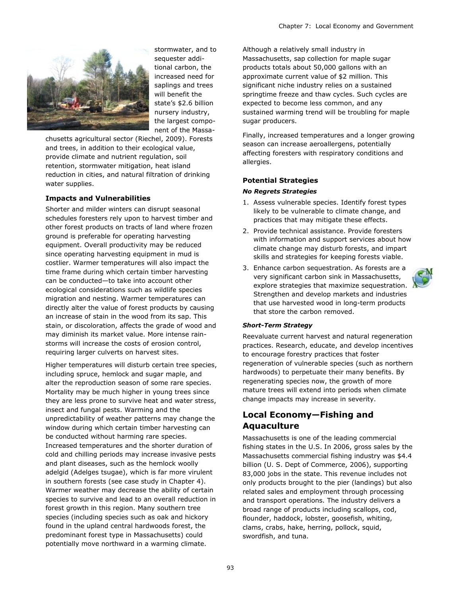

stormwater, and to sequester additional carbon, the increased need for saplings and trees will benefit the state's \$2.6 billion nursery industry, the largest component of the Massa-

chusetts agricultural sector (Riechel, 2009). Forests and trees, in addition to their ecological value, provide climate and nutrient regulation, soil retention, stormwater mitigation, heat island reduction in cities, and natural filtration of drinking water supplies.

#### **Impacts and Vulnerabilities**

Shorter and milder winters can disrupt seasonal schedules foresters rely upon to harvest timber and other forest products on tracts of land where frozen ground is preferable for operating harvesting equipment. Overall productivity may be reduced since operating harvesting equipment in mud is costlier. Warmer temperatures will also impact the time frame during which certain timber harvesting can be conducted—to take into account other ecological considerations such as wildlife species migration and nesting. Warmer temperatures can directly alter the value of forest products by causing an increase of stain in the wood from its sap. This stain, or discoloration, affects the grade of wood and may diminish its market value. More intense rainstorms will increase the costs of erosion control, requiring larger culverts on harvest sites.

Higher temperatures will disturb certain tree species, including spruce, hemlock and sugar maple, and alter the reproduction season of some rare species. Mortality may be much higher in young trees since they are less prone to survive heat and water stress, insect and fungal pests. Warming and the unpredictability of weather patterns may change the window during which certain timber harvesting can be conducted without harming rare species. Increased temperatures and the shorter duration of cold and chilling periods may increase invasive pests and plant diseases, such as the hemlock woolly adelgid (Adelges tsugae), which is far more virulent in southern forests (see case study in Chapter 4). Warmer weather may decrease the ability of certain species to survive and lead to an overall reduction in forest growth in this region. Many southern tree species (including species such as oak and hickory found in the upland central hardwoods forest, the predominant forest type in Massachusetts) could potentially move northward in a warming climate.

Although a relatively small industry in Massachusetts, sap collection for maple sugar products totals about 50,000 gallons with an approximate current value of \$2 million. This significant niche industry relies on a sustained springtime freeze and thaw cycles. Such cycles are expected to become less common, and any sustained warming trend will be troubling for maple sugar producers.

Finally, increased temperatures and a longer growing season can increase aeroallergens, potentially affecting foresters with respiratory conditions and allergies.

#### **Potential Strategies**

#### *No Regrets Strategies*

- 1. Assess vulnerable species. Identify forest types likely to be vulnerable to climate change, and practices that may mitigate these effects.
- 2. Provide technical assistance. Provide foresters with information and support services about how climate change may disturb forests, and impart skills and strategies for keeping forests viable.
- 3. Enhance carbon sequestration. As forests are a very significant carbon sink in Massachusetts, explore strategies that maximize sequestration. Strengthen and develop markets and industries that use harvested wood in long-term products that store the carbon removed.

#### *Short-Term Strategy*

Reevaluate current harvest and natural regeneration practices. Research, educate, and develop incentives to encourage forestry practices that foster regeneration of vulnerable species (such as northern hardwoods) to perpetuate their many benefits. By regenerating species now, the growth of more mature trees will extend into periods when climate change impacts may increase in severity.

# **Local Economy—Fishing and Aquaculture**

Massachusetts is one of the leading commercial fishing states in the U.S. In 2006, gross sales by the Massachusetts commercial fishing industry was \$4.4 billion (U. S. Dept of Commerce, 2006), supporting 83,000 jobs in the state. This revenue includes not only products brought to the pier (landings) but also related sales and employment through processing and transport operations. The industry delivers a broad range of products including scallops, cod, flounder, haddock, lobster, goosefish, whiting, clams, crabs, hake, herring, pollock, squid, swordfish, and tuna.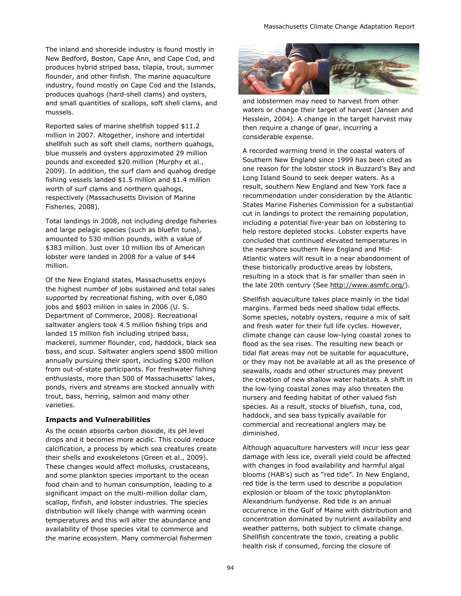The inland and shoreside industry is found mostly in New Bedford, Boston, Cape Ann, and Cape Cod, and produces hybrid striped bass, tilapia, trout, summer flounder, and other finfish. The marine aquaculture industry, found mostly on Cape Cod and the Islands, produces quahogs (hard-shell clams) and oysters, and small quantities of scallops, soft shell clams, and mussels.

Reported sales of marine shellfish topped \$11.2 million in 2007. Altogether, inshore and intertidal shellfish such as soft shell clams, northern quahogs, blue mussels and oysters approximated 29 million pounds and exceeded \$20 million (Murphy et al., 2009). In addition, the surf clam and quahog dredge fishing vessels landed \$1.5 million and \$1.4 million worth of surf clams and northern quahogs, respectively (Massachusetts Division of Marine Fisheries, 2008).

Total landings in 2008, not including dredge fisheries and large pelagic species (such as bluefin tuna), amounted to 530 million pounds, with a value of \$383 million. Just over 10 million lbs of American lobster were landed in 2008 for a value of \$44 million.

Of the New England states, Massachusetts enjoys the highest number of jobs sustained and total sales supported by recreational fishing, with over 6,080 jobs and \$803 million in sales in 2006 (U. S. Department of Commerce, 2008). Recreational saltwater anglers took 4.5 million fishing trips and landed 15 million fish including striped bass, mackerel, summer flounder, cod, haddock, black sea bass, and scup. Saltwater anglers spend \$800 million annually pursuing their sport, including \$200 million from out-of-state participants. For freshwater fishing enthusiasts, more than 500 of Massachusetts' lakes, ponds, rivers and streams are stocked annually with trout, bass, herring, salmon and many other varieties.

#### **Impacts and Vulnerabilities**

As the ocean absorbs carbon dioxide, its pH level drops and it becomes more acidic. This could reduce calcification, a process by which sea creatures create their shells and exoskeletons (Green et al., 2009). These changes would affect mollusks, crustaceans, and some plankton species important to the ocean food chain and to human consumption, leading to a significant impact on the multi-million dollar clam, scallop, finfish, and lobster industries. The species distribution will likely change with warming ocean temperatures and this will alter the abundance and availability of those species vital to commerce and the marine ecosystem. Many commercial fishermen



and lobstermen may need to harvest from other waters or change their target of harvest (Jansen and Hesslein, 2004). A change in the target harvest may then require a change of gear, incurring a considerable expense.

A recorded warming trend in the coastal waters of Southern New England since 1999 has been cited as one reason for the lobster stock in Buzzard's Bay and Long Island Sound to seek deeper waters. As a result, southern New England and New York face a recommendation under consideration by the Atlantic States Marine Fisheries Commission for a substantial cut in landings to protect the remaining population, including a potential five-year ban on lobstering to help restore depleted stocks. Lobster experts have concluded that continued elevated temperatures in the nearshore southern New England and Mid-Atlantic waters will result in a near abandonment of these historically productive areas by lobsters, resulting in a stock that is far smaller than seen in the late 20th century (See [http://www.asmfc.org/\).](http://www.asmfc.org/)

Shellfish aquaculture takes place mainly in the tidal margins. Farmed beds need shallow tidal effects. Some species, notably oysters, require a mix of salt and fresh water for their full life cycles. However, climate change can cause low-lying coastal zones to flood as the sea rises. The resulting new beach or tidal flat areas may not be suitable for aquaculture, or they may not be available at all as the presence of seawalls, roads and other structures may prevent the creation of new shallow water habitats. A shift in the low-lying coastal zones may also threaten the nursery and feeding habitat of other valued fish species. As a result, stocks of bluefish, tuna, cod, haddock, and sea bass typically available for commercial and recreational anglers may be diminished.

Although aquaculture harvesters will incur less gear damage with less ice, overall yield could be affected with changes in food availability and harmful algal blooms (HAB's) such as "red tide". In New England, red tide is the term used to describe a population explosion or bloom of the toxic phytoplankton Alexandrium fundyense. Red tide is an annual occurrence in the Gulf of Maine with distribution and concentration dominated by nutrient availability and weather patterns, both subject to climate change. Shellfish concentrate the toxin, creating a public health risk if consumed, forcing the closure of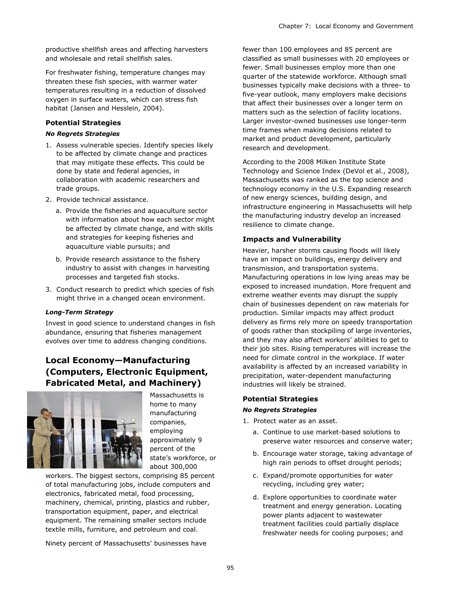productive shellfish areas and affecting harvesters and wholesale and retail shellfish sales.

For freshwater fishing, temperature changes may threaten these fish species, with warmer water temperatures resulting in a reduction of dissolved oxygen in surface waters, which can stress fish habitat (Jansen and Hesslein, 2004).

#### **Potential Strategies**

#### *No Regrets Strategies*

- 1. Assess vulnerable species. Identify species likely to be affected by climate change and practices that may mitigate these effects. This could be done by state and federal agencies, in collaboration with academic researchers and trade groups.
- 2. Provide technical assistance.
	- a. Provide the fisheries and aquaculture sector with information about how each sector might be affected by climate change, and with skills and strategies for keeping fisheries and aquaculture viable pursuits; and
	- b. Provide research assistance to the fishery industry to assist with changes in harvesting processes and targeted fish stocks.
- 3. Conduct research to predict which species of fish might thrive in a changed ocean environment.

#### *Long-Term Strategy*

Invest in good science to understand changes in fish abundance, ensuring that fisheries management evolves over time to address changing conditions.

## **Local Economy—Manufacturing (Computers, Electronic Equipment, Fabricated Metal, and Machinery)**



Massachusetts is home to many manufacturing companies, employing approximately 9 percent of the state's workforce, or about 300,000

workers. The biggest sectors, comprising 85 percent of total manufacturing jobs, include computers and electronics, fabricated metal, food processing, machinery, chemical, printing, plastics and rubber, transportation equipment, paper, and electrical equipment. The remaining smaller sectors include textile mills, furniture, and petroleum and coal.

Ninety percent of Massachusetts' businesses have

fewer than 100 employees and 85 percent are classified as small businesses with 20 employees or fewer. Small businesses employ more than one quarter of the statewide workforce. Although small businesses typically make decisions with a three- to five-year outlook, many employers make decisions that affect their businesses over a longer term on matters such as the selection of facility locations. Larger investor-owned businesses use longer-term time frames when making decisions related to market and product development, particularly research and development.

According to the 2008 Milken Institute State Technology and Science Index (DeVol et al., 2008), Massachusetts was ranked as the top science and technology economy in the U.S. Expanding research of new energy sciences, building design, and infrastructure engineering in Massachusetts will help the manufacturing industry develop an increased resilience to climate change.

#### **Impacts and Vulnerability**

Heavier, harsher storms causing floods will likely have an impact on buildings, energy delivery and transmission, and transportation systems. Manufacturing operations in low lying areas may be exposed to increased inundation. More frequent and extreme weather events may disrupt the supply chain of businesses dependent on raw materials for production. Similar impacts may affect product delivery as firms rely more on speedy transportation of goods rather than stockpiling of large inventories, and they may also affect workers' abilities to get to their job sites. Rising temperatures will increase the need for climate control in the workplace. If water availability is affected by an increased variability in precipitation, water-dependent manufacturing industries will likely be strained.

#### **Potential Strategies**

#### *No Regrets Strategies*

- 1. Protect water as an asset.
	- a. Continue to use market-based solutions to preserve water resources and conserve water;
	- b. Encourage water storage, taking advantage of high rain periods to offset drought periods;
	- c. Expand/promote opportunities for water recycling, including grey water;
	- d. Explore opportunities to coordinate water treatment and energy generation. Locating power plants adjacent to wastewater treatment facilities could partially displace freshwater needs for cooling purposes; and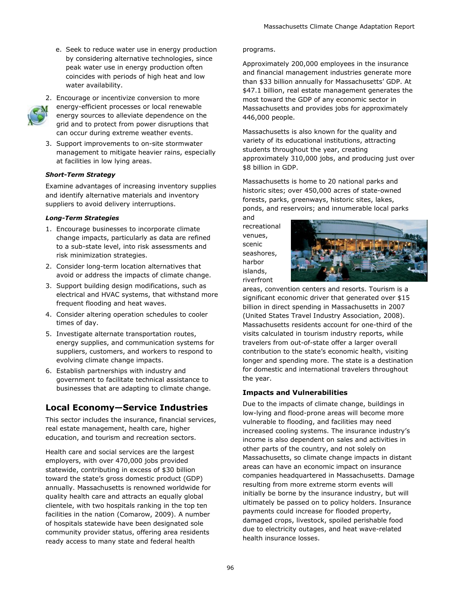e. Seek to reduce water use in energy production by considering alternative technologies, since peak water use in energy production often coincides with periods of high heat and low water availability.



2. Encourage or incentivize conversion to more energy-efficient processes or local renewable energy sources to alleviate dependence on the grid and to protect from power disruptions that can occur during extreme weather events.

3. Support improvements to on-site stormwater management to mitigate heavier rains, especially at facilities in low lying areas.

#### *Short-Term Strategy*

Examine advantages of increasing inventory supplies and identify alternative materials and inventory suppliers to avoid delivery interruptions.

#### *Long-Term Strategies*

- 1. Encourage businesses to incorporate climate change impacts, particularly as data are refined to a sub-state level, into risk assessments and risk minimization strategies.
- 2. Consider long-term location alternatives that avoid or address the impacts of climate change.
- 3. Support building design modifications, such as electrical and HVAC systems, that withstand more frequent flooding and heat waves.
- 4. Consider altering operation schedules to cooler times of day.
- 5. Investigate alternate transportation routes, energy supplies, and communication systems for suppliers, customers, and workers to respond to evolving climate change impacts.
- 6. Establish partnerships with industry and government to facilitate technical assistance to businesses that are adapting to climate change.

## **Local Economy—Service Industries**

This sector includes the insurance, financial services, real estate management, health care, higher education, and tourism and recreation sectors.

Health care and social services are the largest employers, with over 470,000 jobs provided statewide, contributing in excess of \$30 billion toward the state's gross domestic product (GDP) annually. Massachusetts is renowned worldwide for quality health care and attracts an equally global clientele, with two hospitals ranking in the top ten facilities in the nation (Comarow, 2009). A number of hospitals statewide have been designated sole community provider status, offering area residents ready access to many state and federal health

#### programs.

Approximately 200,000 employees in the insurance and financial management industries generate more than \$33 billion annually for Massachusetts' GDP. At \$47.1 billion, real estate management generates the most toward the GDP of any economic sector in Massachusetts and provides jobs for approximately 446,000 people.

Massachusetts is also known for the quality and variety of its educational institutions, attracting students throughout the year, creating approximately 310,000 jobs, and producing just over \$8 billion in GDP.

Massachusetts is home to 20 national parks and historic sites; over 450,000 acres of state-owned forests, parks, greenways, historic sites, lakes, ponds, and reservoirs; and innumerable local parks

and recreational venues, scenic seashores, harbor islands, riverfront



areas, convention centers and resorts. Tourism is a significant economic driver that generated over \$15 billion in direct spending in Massachusetts in 2007 (United States Travel Industry Association, 2008). Massachusetts residents account for one-third of the visits calculated in tourism industry reports, while travelers from out-of-state offer a larger overall contribution to the state's economic health, visiting longer and spending more. The state is a destination for domestic and international travelers throughout the year.

#### **Impacts and Vulnerabilities**

Due to the impacts of climate change, buildings in low-lying and flood-prone areas will become more vulnerable to flooding, and facilities may need increased cooling systems. The insurance industry's income is also dependent on sales and activities in other parts of the country, and not solely on Massachusetts, so climate change impacts in distant areas can have an economic impact on insurance companies headquartered in Massachusetts. Damage resulting from more extreme storm events will initially be borne by the insurance industry, but will ultimately be passed on to policy holders. Insurance payments could increase for flooded property, damaged crops, livestock, spoiled perishable food due to electricity outages, and heat wave-related health insurance losses.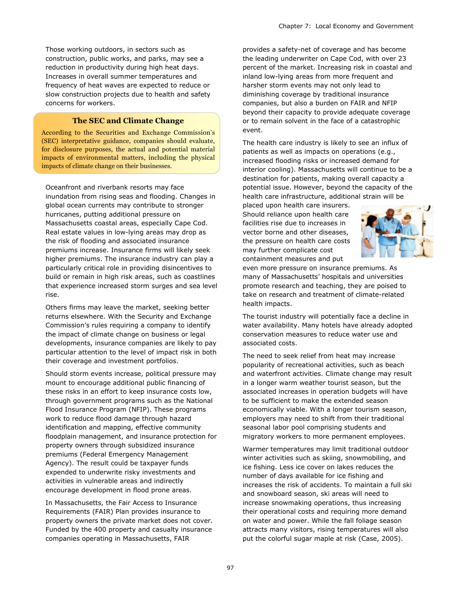Those working outdoors, in sectors such as construction, public works, and parks, may see a reduction in productivity during high heat days. Increases in overall summer temperatures and frequency of heat waves are expected to reduce or slow construction projects due to health and safety concerns for workers.

#### **The SEC and Climate Change**

According to the Securities and Exchange Commission's (SEC) interpretative guidance, companies should evaluate, for disclosure purposes, the actual and potential material impacts of environmental matters, including the physical impacts of climate change on their businesses.

Oceanfront and riverbank resorts may face inundation from rising seas and flooding. Changes in global ocean currents may contribute to stronger hurricanes, putting additional pressure on Massachusetts coastal areas, especially Cape Cod. Real estate values in low-lying areas may drop as the risk of flooding and associated insurance premiums increase. Insurance firms will likely seek higher premiums. The insurance industry can play a particularly critical role in providing disincentives to build or remain in high risk areas, such as coastlines that experience increased storm surges and sea level rise.

Others firms may leave the market, seeking better returns elsewhere. With the Security and Exchange Commission's rules requiring a company to identify the impact of climate change on business or legal developments, insurance companies are likely to pay particular attention to the level of impact risk in both their coverage and investment portfolios.

Should storm events increase, political pressure may mount to encourage additional public financing of these risks in an effort to keep insurance costs low, through government programs such as the National Flood Insurance Program (NFIP). These programs work to reduce flood damage through hazard identification and mapping, effective community floodplain management, and insurance protection for property owners through subsidized insurance premiums (Federal Emergency Management Agency). The result could be taxpayer funds expended to underwrite risky investments and activities in vulnerable areas and indirectly encourage development in flood prone areas.

In Massachusetts, the Fair Access to Insurance Requirements (FAIR) Plan provides insurance to property owners the private market does not cover. Funded by the 400 property and casualty insurance companies operating in Massachusetts, FAIR

provides a safety-net of coverage and has become the leading underwriter on Cape Cod, with over 23 percent of the market. Increasing risk in coastal and inland low-lying areas from more frequent and harsher storm events may not only lead to diminishing coverage by traditional insurance companies, but also a burden on FAIR and NFIP beyond their capacity to provide adequate coverage or to remain solvent in the face of a catastrophic event.

The health care industry is likely to see an influx of patients as well as impacts on operations (e.g., increased flooding risks or increased demand for interior cooling). Massachusetts will continue to be a destination for patients, making overall capacity a potential issue. However, beyond the capacity of the health care infrastructure, additional strain will be

placed upon health care insurers. Should reliance upon health care facilities rise due to increases in vector borne and other diseases, the pressure on health care costs may further complicate cost containment measures and put



even more pressure on insurance premiums. As many of Massachusetts' hospitals and universities promote research and teaching, they are poised to take on research and treatment of climate-related health impacts.

The tourist industry will potentially face a decline in water availability. Many hotels have already adopted conservation measures to reduce water use and associated costs.

The need to seek relief from heat may increase popularity of recreational activities, such as beach and waterfront activities. Climate change may result in a longer warm weather tourist season, but the associated increases in operation budgets will have to be sufficient to make the extended season economically viable. With a longer tourism season, employers may need to shift from their traditional seasonal labor pool comprising students and migratory workers to more permanent employees.

Warmer temperatures may limit traditional outdoor winter activities such as skiing, snowmobiling, and ice fishing. Less ice cover on lakes reduces the number of days available for ice fishing and increases the risk of accidents. To maintain a full ski and snowboard season, ski areas will need to increase snowmaking operations, thus increasing their operational costs and requiring more demand on water and power. While the fall foliage season attracts many visitors, rising temperatures will also put the colorful sugar maple at risk (Case, 2005).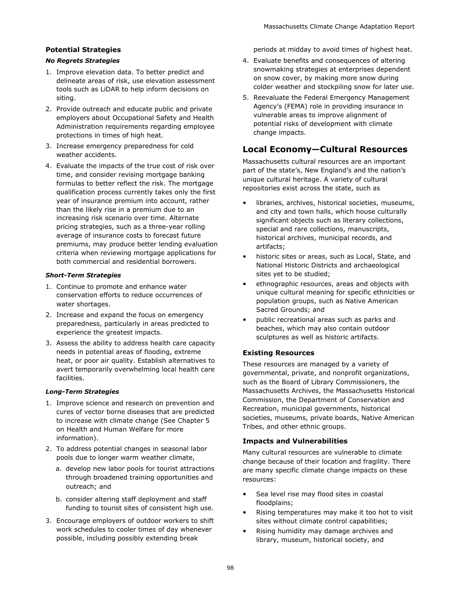#### **Potential Strategies**

#### *No Regrets Strategies*

- 1. Improve elevation data. To better predict and delineate areas of risk, use elevation assessment tools such as LiDAR to help inform decisions on siting.
- 2. Provide outreach and educate public and private employers about Occupational Safety and Health Administration requirements regarding employee protections in times of high heat.
- 3. Increase emergency preparedness for cold weather accidents.
- 4. Evaluate the impacts of the true cost of risk over time, and consider revising mortgage banking formulas to better reflect the risk. The mortgage qualification process currently takes only the first year of insurance premium into account, rather than the likely rise in a premium due to an increasing risk scenario over time. Alternate pricing strategies, such as a three-year rolling average of insurance costs to forecast future premiums, may produce better lending evaluation criteria when reviewing mortgage applications for both commercial and residential borrowers.

#### *Short-Term Strategies*

- 1. Continue to promote and enhance water conservation efforts to reduce occurrences of water shortages.
- 2. Increase and expand the focus on emergency preparedness, particularly in areas predicted to experience the greatest impacts.
- 3. Assess the ability to address health care capacity needs in potential areas of flooding, extreme heat, or poor air quality. Establish alternatives to avert temporarily overwhelming local health care facilities.

#### *Long-Term Strategies*

- 1. Improve science and research on prevention and cures of vector borne diseases that are predicted to increase with climate change (See Chapter 5 on Health and Human Welfare for more information).
- 2. To address potential changes in seasonal labor pools due to longer warm weather climate,
	- a. develop new labor pools for tourist attractions through broadened training opportunities and outreach; and
	- b. consider altering staff deployment and staff funding to tourist sites of consistent high use.
- 3. Encourage employers of outdoor workers to shift work schedules to cooler times of day whenever possible, including possibly extending break

periods at midday to avoid times of highest heat.

- 4. Evaluate benefits and consequences of altering snowmaking strategies at enterprises dependent on snow cover, by making more snow during colder weather and stockpiling snow for later use.
- 5. Reevaluate the Federal Emergency Management Agency's (FEMA) role in providing insurance in vulnerable areas to improve alignment of potential risks of development with climate change impacts.

### **Local Economy—Cultural Resources**

Massachusetts cultural resources are an important part of the state's, New England's and the nation's unique cultural heritage. A variety of cultural repositories exist across the state, such as

- libraries, archives, historical societies, museums, and city and town halls, which house culturally significant objects such as literary collections, special and rare collections, manuscripts, historical archives, municipal records, and artifacts;
- historic sites or areas, such as Local, State, and National Historic Districts and archaeological sites yet to be studied;
- ethnographic resources, areas and objects with unique cultural meaning for specific ethnicities or population groups, such as Native American Sacred Grounds; and
- public recreational areas such as parks and beaches, which may also contain outdoor sculptures as well as historic artifacts.

#### **Existing Resources**

These resources are managed by a variety of governmental, private, and nonprofit organizations, such as the Board of Library Commissioners, the Massachusetts Archives, the Massachusetts Historical Commission, the Department of Conservation and Recreation, municipal governments, historical societies, museums, private boards, Native American Tribes, and other ethnic groups.

#### **Impacts and Vulnerabilities**

Many cultural resources are vulnerable to climate change because of their location and fragility. There are many specific climate change impacts on these resources:

- Sea level rise may flood sites in coastal floodplains;
- Rising temperatures may make it too hot to visit sites without climate control capabilities;
- Rising humidity may damage archives and library, museum, historical society, and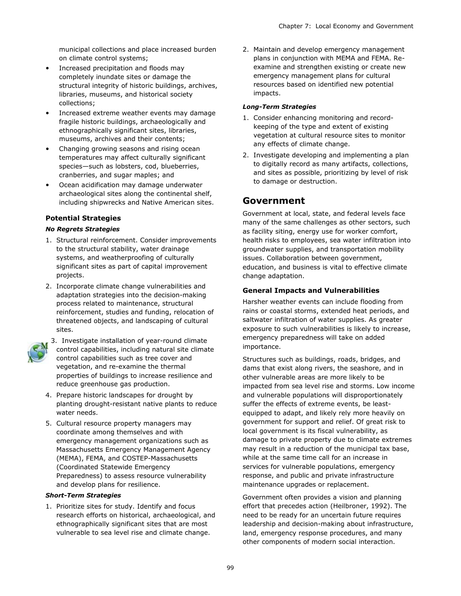municipal collections and place increased burden on climate control systems;

- Increased precipitation and floods may completely inundate sites or damage the structural integrity of historic buildings, archives, libraries, museums, and historical society collections;
- Increased extreme weather events may damage fragile historic buildings, archaeologically and ethnographically significant sites, libraries, museums, archives and their contents;
- Changing growing seasons and rising ocean temperatures may affect culturally significant species—such as lobsters, cod, blueberries, cranberries, and sugar maples; and
- Ocean acidification may damage underwater archaeological sites along the continental shelf, including shipwrecks and Native American sites.

#### **Potential Strategies**

#### *No Regrets Strategies*

- 1. Structural reinforcement. Consider improvements to the structural stability, water drainage systems, and weatherproofing of culturally significant sites as part of capital improvement projects.
- 2. Incorporate climate change vulnerabilities and adaptation strategies into the decision-making process related to maintenance, structural reinforcement, studies and funding, relocation of threatened objects, and landscaping of cultural sites.



- 3. Investigate installation of year-round climate control capabilities, including natural site climate control capabilities such as tree cover and vegetation, and re-examine the thermal properties of buildings to increase resilience and reduce greenhouse gas production.
- 4. Prepare historic landscapes for drought by planting drought-resistant native plants to reduce water needs.
- 5. Cultural resource property managers may coordinate among themselves and with emergency management organizations such as Massachusetts Emergency Management Agency (MEMA), FEMA, and COSTEP-Massachusetts (Coordinated Statewide Emergency Preparedness) to assess resource vulnerability and develop plans for resilience.

#### *Short-Term Strategies*

1. Prioritize sites for study. Identify and focus research efforts on historical, archaeological, and ethnographically significant sites that are most vulnerable to sea level rise and climate change.

2. Maintain and develop emergency management plans in conjunction with MEMA and FEMA. Reexamine and strengthen existing or create new emergency management plans for cultural resources based on identified new potential impacts.

#### *Long-Term Strategies*

- 1. Consider enhancing monitoring and recordkeeping of the type and extent of existing vegetation at cultural resource sites to monitor any effects of climate change.
- 2. Investigate developing and implementing a plan to digitally record as many artifacts, collections, and sites as possible, prioritizing by level of risk to damage or destruction.

#### **Government**

Government at local, state, and federal levels face many of the same challenges as other sectors, such as facility siting, energy use for worker comfort, health risks to employees, sea water infiltration into groundwater supplies, and transportation mobility issues. Collaboration between government, education, and business is vital to effective climate change adaptation.

#### **General Impacts and Vulnerabilities**

Harsher weather events can include flooding from rains or coastal storms, extended heat periods, and saltwater infiltration of water supplies. As greater exposure to such vulnerabilities is likely to increase, emergency preparedness will take on added importance.

Structures such as buildings, roads, bridges, and dams that exist along rivers, the seashore, and in other vulnerable areas are more likely to be impacted from sea level rise and storms. Low income and vulnerable populations will disproportionately suffer the effects of extreme events, be leastequipped to adapt, and likely rely more heavily on government for support and relief. Of great risk to local government is its fiscal vulnerability, as damage to private property due to climate extremes may result in a reduction of the municipal tax base, while at the same time call for an increase in services for vulnerable populations, emergency response, and public and private infrastructure maintenance upgrades or replacement.

Government often provides a vision and planning effort that precedes action (Heilbroner, 1992). The need to be ready for an uncertain future requires leadership and decision-making about infrastructure, land, emergency response procedures, and many other components of modern social interaction.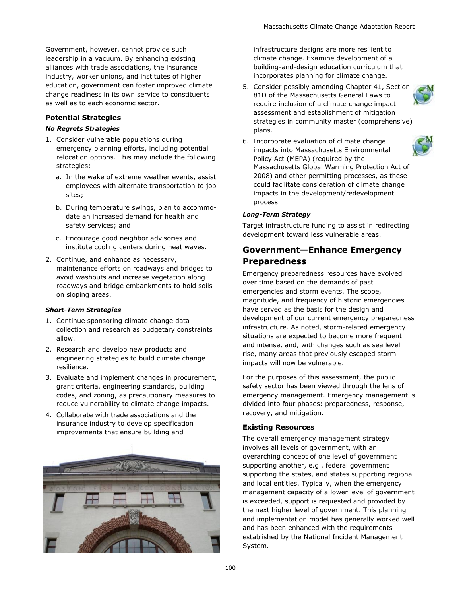Government, however, cannot provide such leadership in a vacuum. By enhancing existing alliances with trade associations, the insurance industry, worker unions, and institutes of higher education, government can foster improved climate change readiness in its own service to constituents as well as to each economic sector.

#### **Potential Strategies**

#### *No Regrets Strategies*

- 1. Consider vulnerable populations during emergency planning efforts, including potential relocation options. This may include the following strategies:
	- a. In the wake of extreme weather events, assist employees with alternate transportation to job sites;
	- b. During temperature swings, plan to accommodate an increased demand for health and safety services; and
	- c. Encourage good neighbor advisories and institute cooling centers during heat waves.
- 2. Continue, and enhance as necessary, maintenance efforts on roadways and bridges to avoid washouts and increase vegetation along roadways and bridge embankments to hold soils on sloping areas.

#### *Short-Term Strategies*

- 1. Continue sponsoring climate change data collection and research as budgetary constraints allow.
- 2. Research and develop new products and engineering strategies to build climate change resilience.
- 3. Evaluate and implement changes in procurement, grant criteria, engineering standards, building codes, and zoning, as precautionary measures to reduce vulnerability to climate change impacts.
- 4. Collaborate with trade associations and the insurance industry to develop specification improvements that ensure building and



infrastructure designs are more resilient to climate change. Examine development of a building-and-design education curriculum that incorporates planning for climate change.

5. Consider possibly amending Chapter 41, Section 81D of the Massachusetts General Laws to require inclusion of a climate change impact assessment and establishment of mitigation strategies in community master (comprehensive) plans.



6. Incorporate evaluation of climate change impacts into Massachusetts Environmental Policy Act (MEPA) (required by the Massachusetts Global Warming Protection Act of 2008) and other permitting processes, as these could facilitate consideration of climate change impacts in the development/redevelopment process.

#### *Long-Term Strategy*

Target infrastructure funding to assist in redirecting development toward less vulnerable areas.

## **Government—Enhance Emergency Preparedness**

Emergency preparedness resources have evolved over time based on the demands of past emergencies and storm events. The scope, magnitude, and frequency of historic emergencies have served as the basis for the design and development of our current emergency preparedness infrastructure. As noted, storm-related emergency situations are expected to become more frequent and intense, and, with changes such as sea level rise, many areas that previously escaped storm impacts will now be vulnerable.

For the purposes of this assessment, the public safety sector has been viewed through the lens of emergency management. Emergency management is divided into four phases: preparedness, response, recovery, and mitigation.

#### **Existing Resources**

The overall emergency management strategy involves all levels of government, with an overarching concept of one level of government supporting another, e.g., federal government supporting the states, and states supporting regional and local entities. Typically, when the emergency management capacity of a lower level of government is exceeded, support is requested and provided by the next higher level of government. This planning and implementation model has generally worked well and has been enhanced with the requirements established by the National Incident Management System.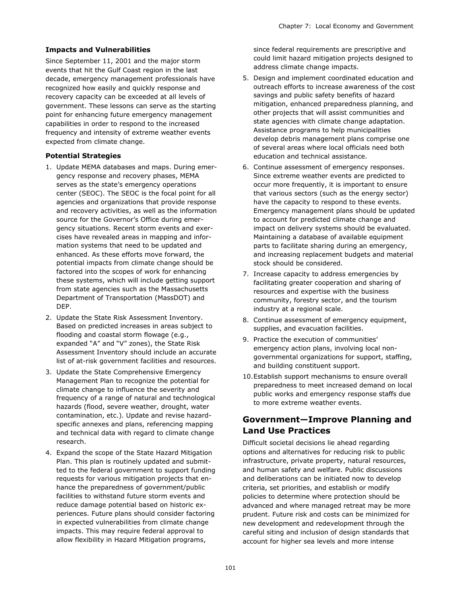#### **Impacts and Vulnerabilities**

Since September 11, 2001 and the major storm events that hit the Gulf Coast region in the last decade, emergency management professionals have recognized how easily and quickly response and recovery capacity can be exceeded at all levels of government. These lessons can serve as the starting point for enhancing future emergency management capabilities in order to respond to the increased frequency and intensity of extreme weather events expected from climate change.

#### **Potential Strategies**

- 1. Update MEMA databases and maps. During emergency response and recovery phases, MEMA serves as the state's emergency operations center (SEOC). The SEOC is the focal point for all agencies and organizations that provide response and recovery activities, as well as the information source for the Governor's Office during emergency situations. Recent storm events and exercises have revealed areas in mapping and information systems that need to be updated and enhanced. As these efforts move forward, the potential impacts from climate change should be factored into the scopes of work for enhancing these systems, which will include getting support from state agencies such as the Massachusetts Department of Transportation (MassDOT) and DEP.
- 2. Update the State Risk Assessment Inventory. Based on predicted increases in areas subject to flooding and coastal storm flowage (e.g., expanded "A" and "V" zones), the State Risk Assessment Inventory should include an accurate list of at-risk government facilities and resources.
- 3. Update the State Comprehensive Emergency Management Plan to recognize the potential for climate change to influence the severity and frequency of a range of natural and technological hazards (flood, severe weather, drought, water contamination, etc.). Update and revise hazardspecific annexes and plans, referencing mapping and technical data with regard to climate change research.
- 4. Expand the scope of the State Hazard Mitigation Plan. This plan is routinely updated and submitted to the federal government to support funding requests for various mitigation projects that enhance the preparedness of government/public facilities to withstand future storm events and reduce damage potential based on historic experiences. Future plans should consider factoring in expected vulnerabilities from climate change impacts. This may require federal approval to allow flexibility in Hazard Mitigation programs,

since federal requirements are prescriptive and could limit hazard mitigation projects designed to address climate change impacts.

- 5. Design and implement coordinated education and outreach efforts to increase awareness of the cost savings and public safety benefits of hazard mitigation, enhanced preparedness planning, and other projects that will assist communities and state agencies with climate change adaptation. Assistance programs to help municipalities develop debris management plans comprise one of several areas where local officials need both education and technical assistance.
- 6. Continue assessment of emergency responses. Since extreme weather events are predicted to occur more frequently, it is important to ensure that various sectors (such as the energy sector) have the capacity to respond to these events. Emergency management plans should be updated to account for predicted climate change and impact on delivery systems should be evaluated. Maintaining a database of available equipment parts to facilitate sharing during an emergency, and increasing replacement budgets and material stock should be considered.
- 7. Increase capacity to address emergencies by facilitating greater cooperation and sharing of resources and expertise with the business community, forestry sector, and the tourism industry at a regional scale.
- 8. Continue assessment of emergency equipment, supplies, and evacuation facilities.
- 9. Practice the execution of communities' emergency action plans, involving local nongovernmental organizations for support, staffing, and building constituent support.
- 10.Establish support mechanisms to ensure overall preparedness to meet increased demand on local public works and emergency response staffs due to more extreme weather events.

# **Government—Improve Planning and Land Use Practices**

Difficult societal decisions lie ahead regarding options and alternatives for reducing risk to public infrastructure, private property, natural resources, and human safety and welfare. Public discussions and deliberations can be initiated now to develop criteria, set priorities, and establish or modify policies to determine where protection should be advanced and where managed retreat may be more prudent. Future risk and costs can be minimized for new development and redevelopment through the careful siting and inclusion of design standards that account for higher sea levels and more intense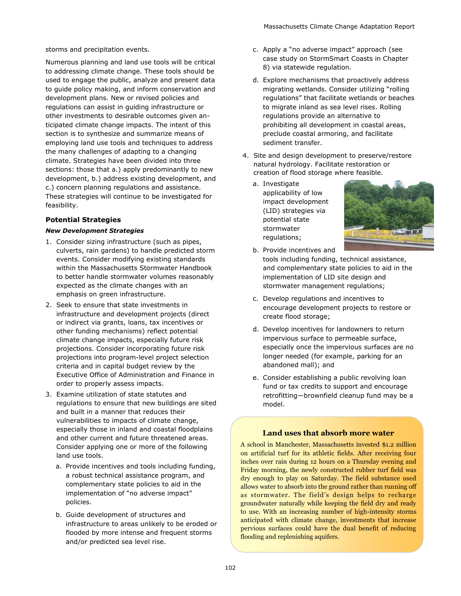storms and precipitation events.

Numerous planning and land use tools will be critical to addressing climate change. These tools should be used to engage the public, analyze and present data to guide policy making, and inform conservation and development plans. New or revised policies and regulations can assist in guiding infrastructure or other investments to desirable outcomes given anticipated climate change impacts. The intent of this section is to synthesize and summarize means of employing land use tools and techniques to address the many challenges of adapting to a changing climate. Strategies have been divided into three sections: those that a.) apply predominantly to new development, b.) address existing development, and c.) concern planning regulations and assistance. These strategies will continue to be investigated for feasibility.

#### **Potential Strategies**

#### *New Development Strategies*

- 1. Consider sizing infrastructure (such as pipes, culverts, rain gardens) to handle predicted storm events. Consider modifying existing standards within the Massachusetts Stormwater Handbook to better handle stormwater volumes reasonably expected as the climate changes with an emphasis on green infrastructure.
- 2. Seek to ensure that state investments in infrastructure and development projects (direct or indirect via grants, loans, tax incentives or other funding mechanisms) reflect potential climate change impacts, especially future risk projections. Consider incorporating future risk projections into program-level project selection criteria and in capital budget review by the Executive Office of Administration and Finance in order to properly assess impacts.
- 3. Examine utilization of state statutes and regulations to ensure that new buildings are sited and built in a manner that reduces their vulnerabilities to impacts of climate change, especially those in inland and coastal floodplains and other current and future threatened areas. Consider applying one or more of the following land use tools.
	- a. Provide incentives and tools including funding, a robust technical assistance program, and complementary state policies to aid in the implementation of "no adverse impact" policies.
	- b. Guide development of structures and infrastructure to areas unlikely to be eroded or flooded by more intense and frequent storms and/or predicted sea level rise.
- c. Apply a "no adverse impact" approach (see case study on StormSmart Coasts in Chapter 8) via statewide regulation.
- d. Explore mechanisms that proactively address migrating wetlands. Consider utilizing "rolling" regulations" that facilitate wetlands or beaches to migrate inland as sea level rises. Rolling regulations provide an alternative to prohibiting all development in coastal areas, preclude coastal armoring, and facilitate sediment transfer.
- 4. Site and design development to preserve/restore natural hydrology. Facilitate restoration or creation of flood storage where feasible.
	- a. Investigate applicability of low impact development (LID) strategies via potential state stormwater regulations;



- b. Provide incentives and tools including funding, technical assistance, and complementary state policies to aid in the implementation of LID site design and stormwater management regulations;
- c. Develop regulations and incentives to encourage development projects to restore or create flood storage;
- d. Develop incentives for landowners to return impervious surface to permeable surface, especially once the impervious surfaces are no longer needed (for example, parking for an abandoned mall); and
- e. Consider establishing a public revolving loan fund or tax credits to support and encourage retrofitting—brownfield cleanup fund may be a model.

#### **Land uses that absorb more water**

A school in Manchester, Massachusetts invested \$1.2 million on artificial turf for its athletic fields. After receiving four inches over rain during 12 hours on a Thursday evening and Friday morning, the newly constructed rubber turf field was dry enough to play on Saturday. The field substance used allows water to absorb into the ground rather than running off as stormwater. The field's design helps to recharge groundwater naturally while keeping the field dry and ready to use. With an increasing number of high-intensity storms anticipated with climate change, investments that increase pervious surfaces could have the dual benefit of reducing flooding and replenishing aquifers.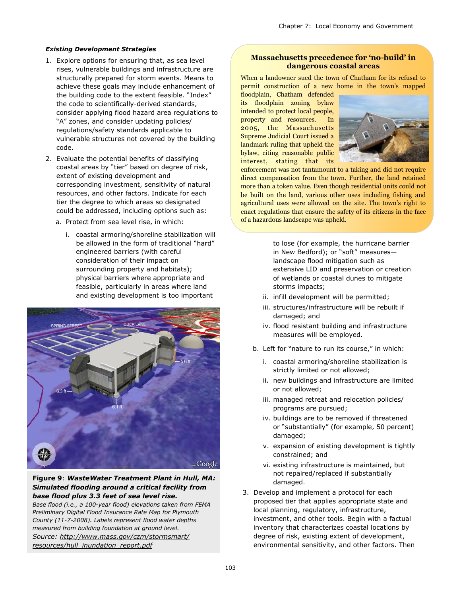#### *Existing Development Strategies*

- 1. Explore options for ensuring that, as sea level rises, vulnerable buildings and infrastructure are structurally prepared for storm events. Means to achieve these goals may include enhancement of the building code to the extent feasible. "Index" the code to scientifically-derived standards, consider applying flood hazard area regulations to "A" zones, and consider updating policies/ regulations/safety standards applicable to vulnerable structures not covered by the building code.
- 2. Evaluate the potential benefits of classifying coastal areas by "tier" based on degree of risk, extent of existing development and corresponding investment, sensitivity of natural resources, and other factors. Indicate for each tier the degree to which areas so designated could be addressed, including options such as:
	- a. Protect from sea level rise, in which:
		- i. coastal armoring/shoreline stabilization will be allowed in the form of traditional "hard" engineered barriers (with careful consideration of their impact on surrounding property and habitats); physical barriers where appropriate and feasible, particularly in areas where land and existing development is too important



#### **Figure 9**: *WasteWater Treatment Plant in Hull, MA: Simulated flooding around a critical facility from base flood plus 3.3 feet of sea level rise.*

*Base flood (i.e., a 100-year flood) elevations taken from FEMA Preliminary Digital Flood Insurance Rate Map for Plymouth County (11-7-2008). Labels represent flood water depths measured from building foundation at ground level. Source: [http://www.mass.gov/czm/stormsmart/](http://www.mass.gov/czm/stormsmart/resources/hull_inundation_report.pdf) [resources/hull\\_inundation\\_report.pdf](http://www.mass.gov/czm/stormsmart/resources/hull_inundation_report.pdf)*

#### **Massachusetts precedence for 'no-build' in dangerous coastal areas**

When a landowner sued the town of Chatham for its refusal to permit construction of a new home in the town's mapped

floodplain, Chatham defended its floodplain zoning bylaw intended to protect local people, property and resources. In 2005, the Massachusetts Supreme Judicial Court issued a landmark ruling that upheld the bylaw, citing reasonable public interest, stating that its



enforcement was not tantamount to a taking and did not require direct compensation from the town. Further, the land retained more than a token value. Even though residential units could not be built on the land, various other uses including fishing and agricultural uses were allowed on the site. The town's right to enact regulations that ensure the safety of its citizens in the face of a hazardous landscape was upheld.

> to lose (for example, the hurricane barrier in New Bedford); or "soft" measureslandscape flood mitigation such as extensive LID and preservation or creation of wetlands or coastal dunes to mitigate storms impacts;

- ii. infill development will be permitted;
- iii. structures/infrastructure will be rebuilt if damaged; and
- iv. flood resistant building and infrastructure measures will be employed.
- b. Left for "nature to run its course," in which:
	- i. coastal armoring/shoreline stabilization is strictly limited or not allowed;
	- ii. new buildings and infrastructure are limited or not allowed;
	- iii. managed retreat and relocation policies/ programs are pursued;
	- iv. buildings are to be removed if threatened or "substantially" (for example, 50 percent) damaged;
	- v. expansion of existing development is tightly constrained; and
	- vi. existing infrastructure is maintained, but not repaired/replaced if substantially damaged.
- 3. Develop and implement a protocol for each proposed tier that applies appropriate state and local planning, regulatory, infrastructure, investment, and other tools. Begin with a factual inventory that characterizes coastal locations by degree of risk, existing extent of development, environmental sensitivity, and other factors. Then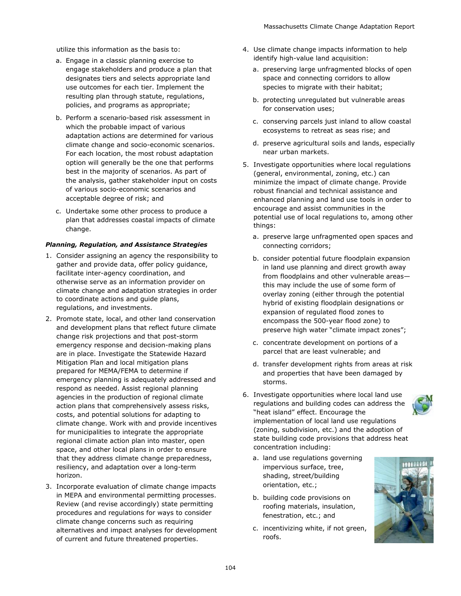utilize this information as the basis to:

- a. Engage in a classic planning exercise to engage stakeholders and produce a plan that designates tiers and selects appropriate land use outcomes for each tier. Implement the resulting plan through statute, regulations, policies, and programs as appropriate;
- b. Perform a scenario-based risk assessment in which the probable impact of various adaptation actions are determined for various climate change and socio-economic scenarios. For each location, the most robust adaptation option will generally be the one that performs best in the majority of scenarios. As part of the analysis, gather stakeholder input on costs of various socio-economic scenarios and acceptable degree of risk; and
- c. Undertake some other process to produce a plan that addresses coastal impacts of climate change.

#### *Planning, Regulation, and Assistance Strategies*

- 1. Consider assigning an agency the responsibility to gather and provide data, offer policy guidance, facilitate inter-agency coordination, and otherwise serve as an information provider on climate change and adaptation strategies in order to coordinate actions and guide plans, regulations, and investments.
- 2. Promote state, local, and other land conservation and development plans that reflect future climate change risk projections and that post-storm emergency response and decision-making plans are in place. Investigate the Statewide Hazard Mitigation Plan and local mitigation plans prepared for MEMA/FEMA to determine if emergency planning is adequately addressed and respond as needed. Assist regional planning agencies in the production of regional climate action plans that comprehensively assess risks, costs, and potential solutions for adapting to climate change. Work with and provide incentives for municipalities to integrate the appropriate regional climate action plan into master, open space, and other local plans in order to ensure that they address climate change preparedness, resiliency, and adaptation over a long-term horizon.
- 3. Incorporate evaluation of climate change impacts in MEPA and environmental permitting processes. Review (and revise accordingly) state permitting procedures and regulations for ways to consider climate change concerns such as requiring alternatives and impact analyses for development of current and future threatened properties.
- 4. Use climate change impacts information to help identify high-value land acquisition:
	- a. preserving large unfragmented blocks of open space and connecting corridors to allow species to migrate with their habitat;
	- b. protecting unregulated but vulnerable areas for conservation uses;
	- c. conserving parcels just inland to allow coastal ecosystems to retreat as seas rise; and
	- d. preserve agricultural soils and lands, especially near urban markets.
- 5. Investigate opportunities where local regulations (general, environmental, zoning, etc.) can minimize the impact of climate change. Provide robust financial and technical assistance and enhanced planning and land use tools in order to encourage and assist communities in the potential use of local regulations to, among other things:
	- a. preserve large unfragmented open spaces and connecting corridors;
	- b. consider potential future floodplain expansion in land use planning and direct growth away from floodplains and other vulnerable areas this may include the use of some form of overlay zoning (either through the potential hybrid of existing floodplain designations or expansion of regulated flood zones to encompass the 500-year flood zone) to preserve high water "climate impact zones";
	- c. concentrate development on portions of a parcel that are least vulnerable; and
	- d. transfer development rights from areas at risk and properties that have been damaged by storms.
- 6. Investigate opportunities where local land use regulations and building codes can address the "heat island" effect. Encourage the implementation of local land use regulations (zoning, subdivision, etc.) and the adoption of state building code provisions that address heat concentration including:
	- a. land use regulations governing impervious surface, tree, shading, street/building orientation, etc.;
	- b. building code provisions on roofing materials, insulation, fenestration, etc.; and
	- c. incentivizing white, if not green, roofs.

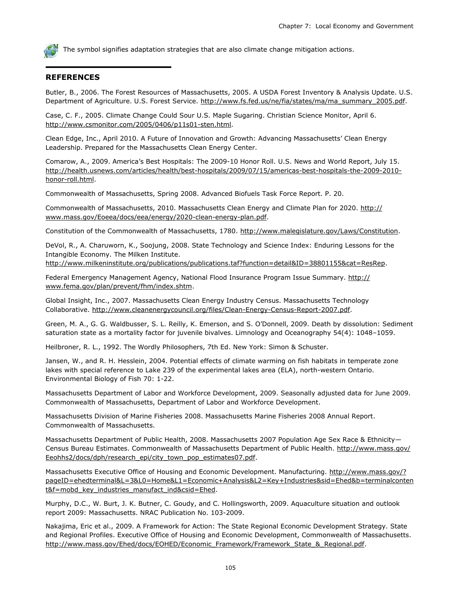The symbol signifies adaptation strategies that are also climate change mitigation actions.

#### **REFERENCES**

Butler, B., 2006. The Forest Resources of Massachusetts, 2005. A USDA Forest Inventory & Analysis Update. U.S. Department of Agriculture. U.S. Forest Service. [http://www.fs.fed.us/ne/fia/states/ma/ma\\_summary\\_2005.pdf.](http://www.fs.fed.us/ne/fia/states/ma/ma_summary_2005.pdf)

Case, C. F., 2005. Climate Change Could Sour U.S. Maple Sugaring. Christian Science Monitor, April 6. [http://www.csmonitor.com/2005/0406/p11s01-sten.html.](http://www.csmonitor.com/2005/0406/p11s01-sten.html)

Clean Edge, Inc., April 2010. A Future of Innovation and Growth: Advancing Massachusetts' Clean Energy Leadership. Prepared for the Massachusetts Clean Energy Center.

Comarow, A., 2009. America's Best Hospitals: The 2009-10 Honor Roll. U.S. News and World Report, July 15. [http://health.usnews.com/articles/health/best-hospitals/2009/07/15/americas-best-hospitals-the-2009-2010](http://health.usnews.com/articles/health/best-hospitals/2009/07/15/americas-best-hospitals-the-2009-2010-honor-roll.html) [honor-roll.html.](http://health.usnews.com/articles/health/best-hospitals/2009/07/15/americas-best-hospitals-the-2009-2010-honor-roll.html)

Commonwealth of Massachusetts, Spring 2008. Advanced Biofuels Task Force Report. P. 20.

Commonwealth of Massachusetts, 2010. Massachusetts Clean Energy and Climate Plan for 2020. [http://](http://www.mass.gov/Eoeea/docs/eea/energy/2020-clean-energy-plan.pdf) [www.mass.gov/Eoeea/docs/eea/energy/2020-clean-energy-plan.pdf.](http://www.mass.gov/Eoeea/docs/eea/energy/2020-clean-energy-plan.pdf)

Constitution of the Commonwealth of Massachusetts, 1780. [http://www.malegislature.gov/Laws/Constitution.](http://www.malegislature.gov/Laws/Constitution)

DeVol, R., A. Charuworn, K., Soojung, 2008. State Technology and Science Index: Enduring Lessons for the Intangible Economy. The Milken Institute.

[http://www.milkeninstitute.org/publications/publications.taf?function=detail&ID=38801155&cat=ResRep.](http://www.milkeninstitute.org/publications/publications.taf?function=detail&ID=38801155&cat=ResRep) 

Federal Emergency Management Agency, National Flood Insurance Program Issue Summary. [http://](http://www.fema.gov/plan/prevent/fhm/index.shtm) [www.fema.gov/plan/prevent/fhm/index.shtm.](http://www.fema.gov/plan/prevent/fhm/index.shtm)

Global Insight, Inc., 2007. Massachusetts Clean Energy Industry Census. Massachusetts Technology Collaborative. [http://www.cleanenergycouncil.org/files/Clean-Energy-Census-Report-2007.pdf.](http://www.cleanenergycouncil.org/files/Clean-Energy-Census-Report-2007.pdf)

Green, M. A., G. G. Waldbusser, S. L. Reilly, K. Emerson, and S. O'Donnell, 2009. Death by dissolution: Sediment saturation state as a mortality factor for juvenile bivalves. Limnology and Oceanography 54(4): 1048–1059.

Heilbroner, R. L., 1992. The Wordly Philosophers, 7th Ed. New York: Simon & Schuster.

Jansen, W., and R. H. Hesslein, 2004. Potential effects of climate warming on fish habitats in temperate zone lakes with special reference to Lake 239 of the experimental lakes area (ELA), north-western Ontario. Environmental Biology of Fish 70: 1-22.

Massachusetts Department of Labor and Workforce Development, 2009. Seasonally adjusted data for June 2009. Commonwealth of Massachusetts, Department of Labor and Workforce Development.

Massachusetts Division of Marine Fisheries 2008. Massachusetts Marine Fisheries 2008 Annual Report. Commonwealth of Massachusetts.

Massachusetts Department of Public Health, 2008. Massachusetts 2007 Population Age Sex Race & Ethnicity— Census Bureau Estimates. Commonwealth of Massachusetts Department of Public Health. [http://www.mass.gov/](http://www.mass.gov/Eeohhs2/docs/dph/research_epi/city_town_pop_estimates07.pdf) [Eeohhs2/docs/dph/research\\_epi/city\\_town\\_pop\\_estimates07.pdf.](http://www.mass.gov/Eeohhs2/docs/dph/research_epi/city_town_pop_estimates07.pdf)

Massachusetts Executive Office of Housing and Economic Development. Manufacturing. [http://www.mass.gov/?](http://www.mass.gov/?pageID=ehedterminal&L=3&L0=Home&L1=Economic+Analysis&L2=Key+Industries&sid=Ehed&b=terminalcontent&f=mobd_key_industries_manufact_ind&csid=Ehed) [pageID=ehedterminal&L=3&L0=Home&L1=Economic+Analysis&L2=Key+Industries&sid=Ehed&b=terminalconten](http://www.mass.gov/?pageID=ehedterminal&L=3&L0=Home&L1=Economic+Analysis&L2=Key+Industries&sid=Ehed&b=terminalcontent&f=mobd_key_industries_manufact_ind&csid=Ehed) [t&f=mobd\\_key\\_industries\\_manufact\\_ind&csid=Ehed.](http://www.mass.gov/?pageID=ehedterminal&L=3&L0=Home&L1=Economic+Analysis&L2=Key+Industries&sid=Ehed&b=terminalcontent&f=mobd_key_industries_manufact_ind&csid=Ehed)

Murphy, D.C., W. Burt, J. K. Butner, C. Goudy, and C. Hollingsworth, 2009. Aquaculture situation and outlook report 2009: Massachusetts. NRAC Publication No. 103-2009.

Nakajima, Eric et al., 2009. A Framework for Action: The State Regional Economic Development Strategy. State and Regional Profiles. Executive Office of Housing and Economic Development, Commonwealth of Massachusetts. [http://www.mass.gov/Ehed/docs/EOHED/Economic\\_Framework/Framework\\_State\\_&\\_Regional.pdf.](http://www.mass.gov/Ehed/docs/EOHED/Economic_Framework/Framework_State_&_Regional.pdf)